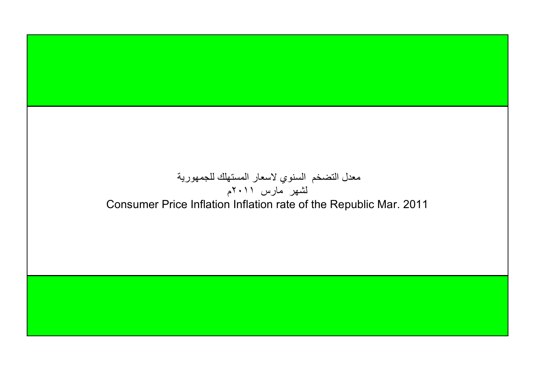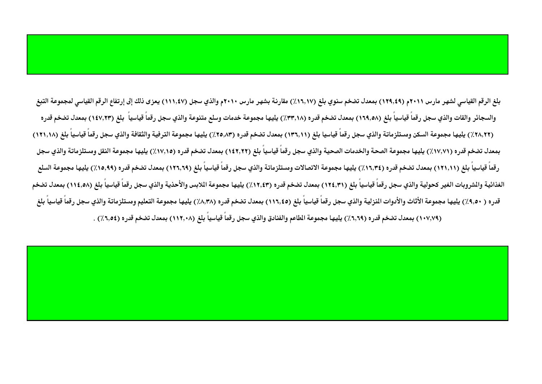بلغ الرقم القياسي لشهر مارس ٢٠١١م (١٢٩,٤٩) بمعدل تضخم سنوي بلغ (١٦,١٧) مقارنة بشهر مارس ٢٠١٠ موالذي سجل (١١١,٤٧) يعزى ذلك إلى إرتفاع الرقم القياسي لمجموعة التبغ والسجائر والقات والذي سجل رقماً قياسياً بلغ (١٦٩,٥٨) بمعدل تضخم قدره (٣٣,١٨) يليها مجموعة خدمات وسلع متنوعة والذي سجل رقماً قياسياً بلغ (١٤٧,٢٣) بمعدل تضخم قدره (٢٨,٢٢) يليها مجموعة السكن ومستلزماتة والذي سجل رقماً قياسيا بلغ (١٣٦,١١) بمعدل تضخم قدره (٢٥,٨٣) يليها مجموعة الترفية والثقافة والذي سجل رقماً قياسياً بلغ (١٢١,١٨) بمعدل تضخم قدره (٧٧,٧١٪) يليها مجموعة الصحة والخدمات الصحية والذي سجل رقماً قياسياً بلغ (١٤٢,٢٢) بمعدل تضخم قدره (١٧,١٥٪) يليها مجموعة النقل ومستلزماتة والذي سجل رقماً قياسياً بلغ (١٢١,١١) بمعدل تضخم قدره (١٦,٣٤٪) يليها مجموعة الاتصالات ومستلزماتة والذي سجل رقماً قياسياً بلغ (١٢٦,٦٩) بمعدل تضخم قدره (١٥,٩٩٪) يليها مجموعة السلع الغذائية والشروبات الغير كحولية والذي سجل رقماً قياسياً بلغ (١٢٤,٣١) بمعدل تضخم قدره (١٢,٤٣) يليها مجموعة اللابس والأحذية والذي سجل رقماً قياسياً بلغ (١١٤,٥٨) بمعدل تضخم قدره ( ٩,٥٠٪) يليها مجموعة الأثاث والأدوات النزلية والذي سجل رقماً قياسياً بلغ (١١٦,٤٥) بمعدل تضخم قدره (٨,٣٨٪) يليها مجموعة التعليم ومستلزماتة والذي سجل رقماً قياسياً بلغ (١٠٧,٧٩) بمعدل تضخم قدره (٦,٦٩) يليها مجموعة الطاعم والفنادق والذي سجل رقماً قياسياً بلغ (١١٢,٠٨) بمعدل تضخم قدره (٦,٥٤) .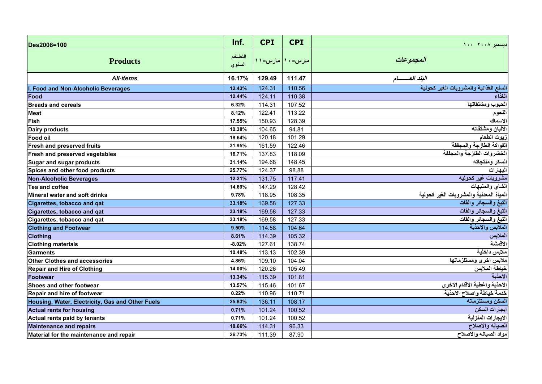| Des2008=100                                      | Inf.             | <b>CPI</b>      | <b>CPI</b> | ديسمبر ٢٠٠٨ ١٠٠                         |
|--------------------------------------------------|------------------|-----------------|------------|-----------------------------------------|
| <b>Products</b>                                  | التضخم<br>السنوي | مارس–۱۰ مارس–۱۱ |            | المجموعات                               |
| <b>All-items</b>                                 | 16.17%           | 129.49          | 111.47     | البند العسسسام                          |
| I. Food and Non-Alcoholic Beverages              | 12.43%           | 124.31          | 110.56     | السلع الغذائية والمشروبات الغير كحولية  |
| Food                                             | 12.44%           | 124.11          | 110.38     | الغذاء                                  |
| <b>Breads and cereals</b>                        | 6.32%            | 114.31          | 107.52     | الحبوب ومشتقاتها                        |
| <b>Meat</b>                                      | 8.12%            | 122.41          | 113.22     | اللحوم                                  |
| Fish                                             | 17.55%           | 150.93          | 128.39     | الاسماك                                 |
| Dairy products                                   | 10.38%           | 104.65          | 94.81      | الالبان ومشتقاته                        |
| <b>Food oil</b>                                  | 18.64%           | 120.18          | 101.29     | زيوت الطعام                             |
| <b>Fresh and preserved fruits</b>                | 31.95%           | 161.59          | 122.46     | الفواكة الطازجة والمجففة                |
| Fresh and preserved vegetables                   | 16.71%           | 137.83          | 118.09     | الخضروات الطازجة والمجففة               |
| Sugar and sugar products                         | 31.14%           | 194.68          | 148.45     | السكر ومنتجاته                          |
| Spices and other food products                   | 25.77%           | 124.37          | 98.88      | البهارات                                |
| <b>Non-Alcoholic Beverages</b>                   | 12.21%           | 131.75          | 117.41     | مشروبات غير كحوليه                      |
| Tea and coffee                                   | 14.69%           | 147.29          | 128.42     | الشاى والمنبهات                         |
| Mineral water and soft drinks                    | 9.78%            | 118.95          | 108.35     | المياة المعدنية والمشروبات الغير كحولية |
| Cigarettes, tobacco and qat                      | 33.18%           | 169.58          | 127.33     | التبغ والسجائر والقات                   |
| Cigarettes, tobacco and qat                      | 33.18%           | 169.58          | 127.33     | التبغ والسجائر والقات                   |
| Cigarettes, tobacco and qat                      | 33.18%           | 169.58          | 127.33     | التبغ والسجائر والقات                   |
| <b>Clothing and Footwear</b>                     | 9.50%            | 114.58          | 104.64     | الملابس والاحذية                        |
| <b>Clothing</b>                                  | 8.61%            | 114.39          | 105.32     | الملابس                                 |
| <b>Clothing materials</b>                        | $-8.02%$         | 127.61          | 138.74     | الاقمشة                                 |
| <b>Garments</b>                                  | 10.48%           | 113.13          | 102.39     | ملابس داخلية                            |
| Other Clothes and accessories                    | 4.86%            | 109.10          | 104.04     | ملابس اخرى ومستلزماتها                  |
| <b>Repair and Hire of Clothing</b>               | 14.00%           | 120.26          | 105.49     | خياطة الملابس                           |
| <b>Footwear</b>                                  | 13.34%           | 115.39          | 101.81     | الاحذية                                 |
| Shoes and other footwear                         | 13.57%           | 115.46          | 101.67     | الاحذية واغطية الاقدام الاخرى           |
| Repair and hire of footwear                      | 0.22%            | 110.96          | 110.71     | خدمة خياطة واصلاح الاحذية               |
| Housing, Water, Electricity, Gas and Other Fuels | 25.83%           | 136.11          | 108.17     | السكن ومستلزماته                        |
| <b>Actual rents for housing</b>                  | 0.71%            | 101.24          | 100.52     | ايجارات السكن                           |
| Actual rents paid by tenants                     | 0.71%            | 101.24          | 100.52     | الايجارات المنزلية                      |
| <b>Maintenance and repairs</b>                   | 18.66%           | 114.31          | 96.33      | الصيانه والاصلاح                        |
| Material for the maintenance and repair          | 26.73%           | 111.39          | 87.90      | مواد الصيانه والاصلاح                   |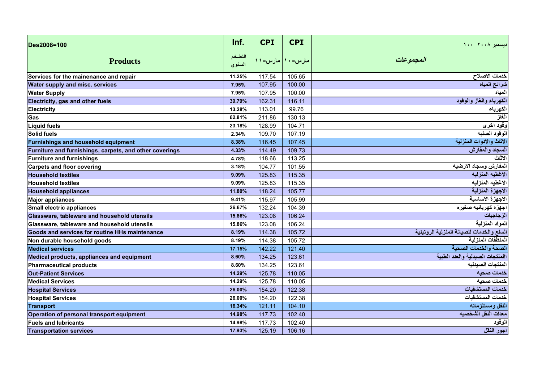| Des2008=100                                             | Inf.              | <b>CPI</b> | <b>CPI</b>      | ديسمبر ٢٠٠٨ ١٠٠                           |
|---------------------------------------------------------|-------------------|------------|-----------------|-------------------------------------------|
| <b>Products</b>                                         | التضخم<br>المسنوي |            | مارس-۱۰ مارس-۱۱ | المجموعات                                 |
| Services for the mainenance and repair                  | 11.25%            | 117.54     | 105.65          | خدمات الاصلاح                             |
| <b>Water supply and misc. services</b>                  | 7.95%             | 107.95     | 100.00          | شرائح المياه                              |
| <b>Water Supply</b>                                     | 7.95%             | 107.95     | 100.00          | المياه                                    |
| Electricity, gas and other fuels                        | 39.79%            | 162.31     | 116.11          | الكهرباء والغاز والوقود                   |
| Electricity                                             | 13.28%            | 113.01     | 99.76           | الكهرباء                                  |
| Gas                                                     | 62.81%            | 211.86     | 130.13          | الغاز                                     |
| Liquid fuels                                            | 23.18%            | 128.99     | 104.71          | وقود اخرى                                 |
| <b>Solid fuels</b>                                      | 2.34%             | 109.70     | 107.19          | الوقود الصلبه                             |
| Furnishings and household equipment                     | 8.38%             | 116.45     | 107.45          | الاثاث والادوات المنزلية                  |
| Furniture and furnishings, carpets, and other coverings | 4.33%             | 114.49     | 109.73          | السجاد والمفارش                           |
| Furniture and furnishings                               | 4.78%             | 118.66     | 113.25          | الاثاث                                    |
| <b>Carpets and floor covering</b>                       | 3.18%             | 104.77     | 101.55          | لمفارش وسجاد الارضيه                      |
| <b>Household textiles</b>                               | 9.09%             | 125.83     | 115.35          | الاغطيه المنزليه                          |
| <b>Household textiles</b>                               | 9.09%             | 125.83     | 115.35          | الاغطيه المنزليه                          |
| <b>Household appliances</b>                             | 11.80%            | 118.24     | 105.77          | الاجهزة المنزلية                          |
| <b>Major appliances</b>                                 | 9.41%             | 115.97     | 105.99          | الاجهزة الاساسية                          |
| Small electric appliances                               | 26.67%            | 132.24     | 104.39          | اجهزه كهربائيه صغيره                      |
| Glassware, tableware and household utensils             | 15.86%            | 123.08     | 106.24          | الزجاجيات                                 |
| Glassware, tableware and household utensils             | 15.86%            | 123.08     | 106.24          | المواد المنزلية                           |
| Goods and services for routine HHs maintenance          | 8.19%             | 114.38     | 105.72          | السلع والخدمات للصيانة المنزلية الروتينية |
| Non durable household goods                             | 8.19%             | 114.38     | 105.72          | المنظفات المنزلية                         |
| <b>Medical services</b>                                 | 17.15%            | 142.22     | 121.40          | الصحة والخدمات الصحبة                     |
| Medical products, appliances and equipment              | 8.60%             | 134.25     | 123.61          | االمنتجات الصيدلية والعدد الطبية          |
| Pharmaceutical products                                 | 8.60%             | 134.25     | 123.61          | لمنتجات الصيدليه                          |
| <b>Out-Patient Services</b>                             | 14.29%            | 125.78     | 110.05          | خدمات صحبه                                |
| <b>Medical Services</b>                                 | 14.29%            | 125.78     | 110.05          | خدمات صحيه                                |
| <b>Hospital Services</b>                                | 26.00%            | 154.20     | 122.38          | خدمات المستشفيات                          |
| <b>Hospital Services</b>                                | 26.00%            | 154.20     | 122.38          | خدمات المستشفيات                          |
| Transport                                               | 16.34%            | 121.11     | 104.10          | النقل ومستلزماته                          |
| Operation of personal transport equipment               | 14.98%            | 117.73     | 102.40          | معدات النقل الشخصيه                       |
| <b>Fuels and lubricants</b>                             | 14.98%            | 117.73     | 102.40          | الوقود                                    |
| <b>Transportation services</b>                          | 17.93%            | 125.19     | 106.16          | اجور النقل                                |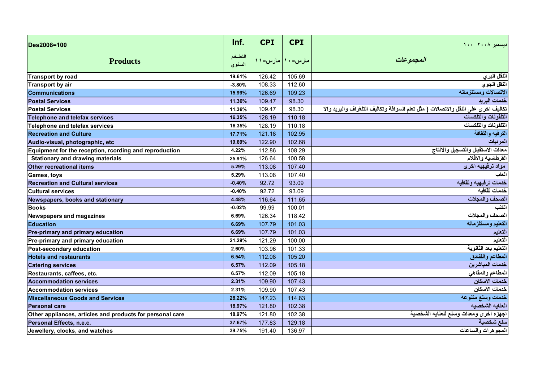| Des2008=100                                               | Inf.             | <b>CPI</b>        | <b>CPI</b> | ديسمبر ٢٠٠٨ ١٠٠                                                                   |
|-----------------------------------------------------------|------------------|-------------------|------------|-----------------------------------------------------------------------------------|
| <b>Products</b>                                           | التضخم<br>السنوي | مارس–۱۰   مارس–۱۱ |            | المجموعات                                                                         |
| <b>Transport by road</b>                                  | 19.61%           | 126.42            | 105.69     | النقل البري                                                                       |
| <b>Transport by air</b>                                   | $-3.80%$         | 108.33            | 112.60     | النقل الجوي                                                                       |
| <b>Communications</b>                                     | 15.99%           | 126.69            | 109.23     | الاتصالات ومستلزماته                                                              |
| <b>Postal Services</b>                                    | 11.36%           | 109.47            | 98.30      | خدمات البريد                                                                      |
| <b>Postal Services</b>                                    | 11.36%           | 109.47            | 98.30      | تكاليف اخرى على النقل والاتصالات ( مثل تعلم السواقة وتكاليف التلغراف والبريد والا |
| <b>Telephone and telefax services</b>                     | 16.35%           | 128.19            | 110.18     | التلفونات والتلكسات                                                               |
| <b>Telephone and telefax services</b>                     | 16.35%           | 128.19            | 110.18     | التلفونات والتلكسات                                                               |
| <b>Recreation and Culture</b>                             | 17.71%           | 121.18            | 102.95     | الترفيه والثقافة                                                                  |
| Audio-visual, photographic, etc                           | 19.69%           | 122.90            | 102.68     | المرئيات                                                                          |
| Equipment for the reception, rcording and reproduction    | 4.22%            | 112.86            | 108.29     | معدات الاستقبال والتسجيل والانتاج                                                 |
| <b>Stationary and drawing materials</b>                   | 25.91%           | 126.64            | 100.58     | لقرطاسيه والاقلام                                                                 |
| Other recreational items                                  | 5.29%            | 113.08            | 107.40     | مواد ترفيهيه اخرى                                                                 |
| Games, toys                                               | 5.29%            | 113.08            | 107.40     | لعاب                                                                              |
| <b>Recreation and Cultural services</b>                   | $-0.40%$         | 92.72             | 93.09      | خدمات ترفيهيه وثقافيه                                                             |
| <b>Cultural services</b>                                  | $-0.40%$         | 92.72             | 93.09      | خدمات ثقافيه                                                                      |
| Newspapers, books and stationary                          | 4.48%            | 116.64            | 111.65     | الصحف والمجلات                                                                    |
| <b>Books</b>                                              | $-0.02%$         | 99.99             | 100.01     | الكتب                                                                             |
| <b>Newspapers and magazines</b>                           | 6.69%            | 126.34            | 118.42     | الصحف والمجلات                                                                    |
| Education                                                 | 6.69%            | 107.79            | 101.03     | التعليم ومستلزماته                                                                |
| Pre-primary and primary education                         | 6.69%            | 107.79            | 101.03     | التعليم                                                                           |
| Pre-primary and primary education                         | 21.29%           | 121.29            | 100.00     | التعليم                                                                           |
| Post-secondary education                                  | 2.60%            | 103.96            | 101.33     | التعليم بعد الثانوية                                                              |
| <b>Hotels and restaurants</b>                             | 6.54%            | 112.08            | 105.20     | المطاعم والفنادق                                                                  |
| <b>Catering services</b>                                  | 6.57%            | 112.09            | 105.18     | خدمات المباشرين                                                                   |
| Restaurants, caffees, etc.                                | 6.57%            | 112.09            | 105.18     | المطاعم والمقاهي                                                                  |
| <b>Accommodation services</b>                             | 2.31%            | 109.90            | 107.43     | خدمات الاسكان                                                                     |
| <b>Accommodation services</b>                             | 2.31%            | 109.90            | 107.43     | خدمات الاسكان                                                                     |
| <b>Miscellaneous Goods and Services</b>                   | 28.22%           | 147.23            | 114.83     | خدمات وسلع متنوعه                                                                 |
| <b>Personal care</b>                                      | 18.97%           | 121.80            | 102.38     | العنايه الشخصيه                                                                   |
| Other appliances, articles and products for personal care | 18.97%           | 121.80            | 102.38     | اجهزه اخرى ومعدات وسلع للعنايه الشخصية                                            |
| Personal Effects, n.e.c.                                  | 37.67%           | 177.83            | 129.18     | سلع شخصية                                                                         |
| Jewellery, clocks, and watches                            | 39.75%           | 191.40            | 136.97     | المجو هرات والساعات                                                               |